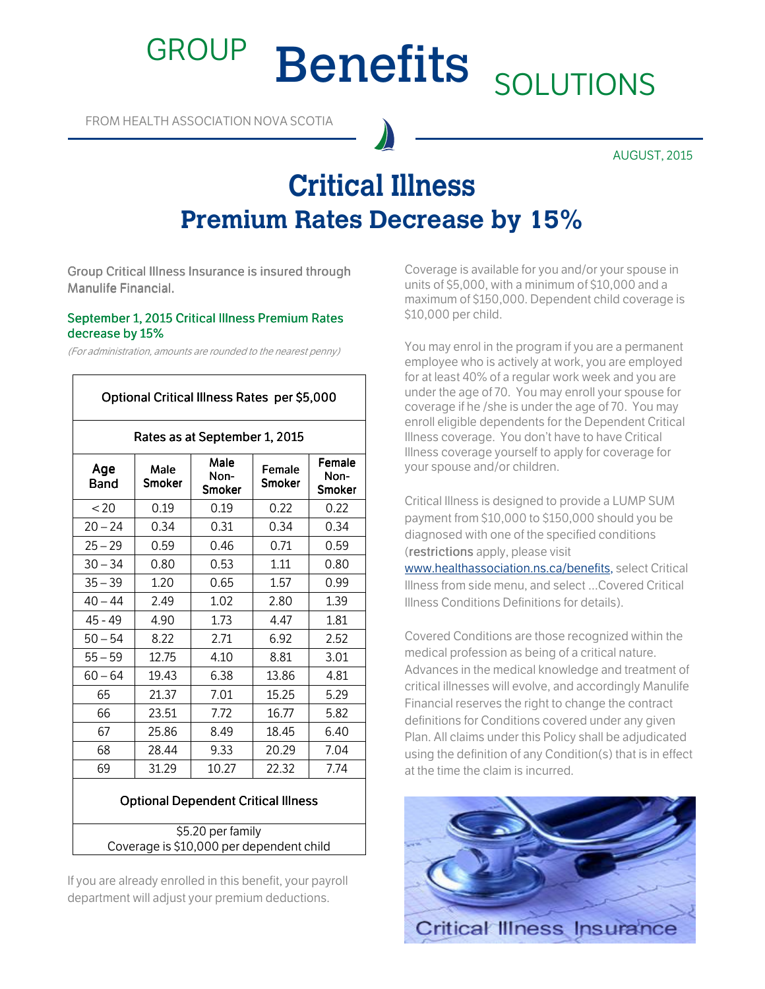# Benefits SOLUTIONS GROUP

FROM HEALTH ASSOCIATION NOVA SCOTIA

AUGUST, 2015

## **Critical Illness Premium Rates Decrease by 15%**

Group Critical Illness Insurance is insured through Manulife Financial.

## September 1, 2015 Critical Illness Premium Rates decrease by 15%

(For administration, amounts are rounded to the nearest penny)

| Optional Critical Illness Rates per \$5,000 |                       |                               |                  |                                 |
|---------------------------------------------|-----------------------|-------------------------------|------------------|---------------------------------|
| Rates as at September 1, 2015               |                       |                               |                  |                                 |
| Age<br>Band                                 | Male<br><b>Smoker</b> | Male<br>Non-<br><b>Smoker</b> | Female<br>Smoker | Female<br>Non-<br><b>Smoker</b> |
| < 20                                        | 0.19                  | 0.19                          | 0.22             | 0.22                            |
| $20 - 24$                                   | 0.34                  | 0.31                          | 0.34             | 0.34                            |
| $25 - 29$                                   | 0.59                  | 0.46                          | 0.71             | 0.59                            |
| $30 - 34$                                   | 0.80                  | 0.53                          | 1.11             | 0.80                            |
| $35 - 39$                                   | 1.20                  | 0.65                          | 1.57             | 0.99                            |
| $40 - 44$                                   | 2.49                  | 1.02                          | 2.80             | 1.39                            |
| 45 - 49                                     | 4.90                  | 1.73                          | 4.47             | 1.81                            |
| $50 - 54$                                   | 8.22                  | 2.71                          | 6.92             | 2.52                            |
| $55 - 59$                                   | 12.75                 | 4.10                          | 8.81             | 3.01                            |
| $60 - 64$                                   | 19.43                 | 6.38                          | 13.86            | 4.81                            |
| 65                                          | 21.37                 | 7.01                          | 15.25            | 5.29                            |
| 66                                          | 23.51                 | 7.72                          | 16.77            | 5.82                            |
| 67                                          | 25.86                 | 8.49                          | 18.45            | 6.40                            |
| 68                                          | 28.44                 | 9.33                          | 20.29            | 7.04                            |
| 69                                          | 31.29                 | 10.27                         | 22.32            | 7.74                            |

## **Optional Dependent Critical Illness**

\$5.20 per family Coverage is \$10,000 per dependent child

If you are already enrolled in this benefit, your payroll department will adjust your premium deductions.

Coverage is available for you and/or your spouse in units of \$5,000, with a minimum of \$10,000 and a maximum of \$150,000. Dependent child coverage is \$10,000 per child.

You may enrol in the program if you are a permanent employee who is actively at work, you are employed for at least 40% of a regular work week and you are under the age of 70. You may enroll your spouse for coverage if he /she is under the age of 70. You may enroll eligible dependents for the Dependent Critical Illness coverage. You don't have to have Critical Illness coverage yourself to apply for coverage for your spouse and/or children.

Critical Illness is designed to provide a LUMP SUM payment from \$10,000 to \$150,000 should you be diagnosed with one of the specified conditions (restrictions apply, please visit www.healthassociation.ns.ca/benefits, select Critical Illness from side menu, and select …Covered Critical

Illness Conditions Definitions for details).

Covered Conditions are those recognized within the medical profession as being of a critical nature. Advances in the medical knowledge and treatment of critical illnesses will evolve, and accordingly Manulife Financial reserves the right to change the contract definitions for Conditions covered under any given Plan. All claims under this Policy shall be adjudicated using the definition of any Condition(s) that is in effect at the time the claim is incurred.